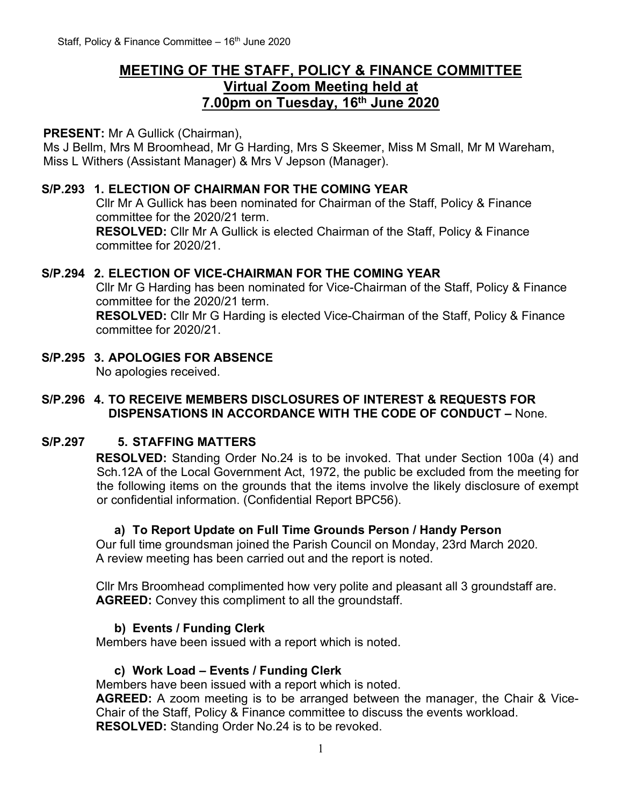# **MEETING OF THE STAFF, POLICY & FINANCE COMMITTEE Virtual Zoom Meeting held at 7.00pm on Tuesday, 16 th June 2020**

### **PRESENT:** Mr A Gullick (Chairman),

Ms J Bellm, Mrs M Broomhead, Mr G Harding, Mrs S Skeemer, Miss M Small, Mr M Wareham, Miss L Withers (Assistant Manager) & Mrs V Jepson (Manager).

### **S/P.293 1. ELECTION OF CHAIRMAN FOR THE COMING YEAR**

Cllr Mr A Gullick has been nominated for Chairman of the Staff, Policy & Finance committee for the 2020/21 term.

**RESOLVED:** Cllr Mr A Gullick is elected Chairman of the Staff, Policy & Finance committee for 2020/21.

### **S/P.294 2. ELECTION OF VICE-CHAIRMAN FOR THE COMING YEAR**

Cllr Mr G Harding has been nominated for Vice-Chairman of the Staff, Policy & Finance committee for the 2020/21 term.

**RESOLVED:** Cllr Mr G Harding is elected Vice-Chairman of the Staff, Policy & Finance committee for 2020/21.

**S/P.295 3. APOLOGIES FOR ABSENCE** No apologies received.

### **S/P.296 4. TO RECEIVE MEMBERS DISCLOSURES OF INTEREST & REQUESTS FOR DISPENSATIONS IN ACCORDANCE WITH THE CODE OF CONDUCT –** None.

## **S/P.297 5. STAFFING MATTERS**

**RESOLVED:** Standing Order No.24 is to be invoked. That under Section 100a (4) and Sch.12A of the Local Government Act, 1972, the public be excluded from the meeting for the following items on the grounds that the items involve the likely disclosure of exempt or confidential information. (Confidential Report BPC56).

## **a) To Report Update on Full Time Grounds Person / Handy Person**

Our full time groundsman joined the Parish Council on Monday, 23rd March 2020. A review meeting has been carried out and the report is noted.

Cllr Mrs Broomhead complimented how very polite and pleasant all 3 groundstaff are. **AGREED:** Convey this compliment to all the groundstaff.

## **b) Events / Funding Clerk**

Members have been issued with a report which is noted.

#### **c) Work Load – Events / Funding Clerk**

Members have been issued with a report which is noted.

**AGREED:** A zoom meeting is to be arranged between the manager, the Chair & Vice-Chair of the Staff, Policy & Finance committee to discuss the events workload. **RESOLVED:** Standing Order No.24 is to be revoked.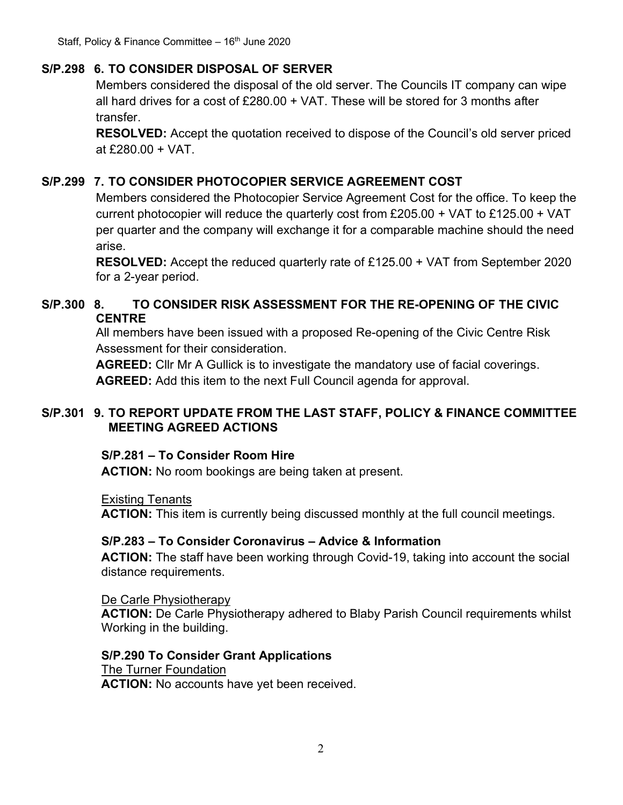# **S/P.298 6. TO CONSIDER DISPOSAL OF SERVER**

Members considered the disposal of the old server. The Councils IT company can wipe all hard drives for a cost of £280.00 + VAT. These will be stored for 3 months after transfer.

**RESOLVED:** Accept the quotation received to dispose of the Council's old server priced at £280.00 + VAT.

# **S/P.299 7. TO CONSIDER PHOTOCOPIER SERVICE AGREEMENT COST**

Members considered the Photocopier Service Agreement Cost for the office. To keep the current photocopier will reduce the quarterly cost from £205.00 + VAT to £125.00 + VAT per quarter and the company will exchange it for a comparable machine should the need arise.

**RESOLVED:** Accept the reduced quarterly rate of £125.00 + VAT from September 2020 for a 2-year period.

# **S/P.300 8. TO CONSIDER RISK ASSESSMENT FOR THE RE-OPENING OF THE CIVIC CENTRE**

All members have been issued with a proposed Re-opening of the Civic Centre Risk Assessment for their consideration.

**AGREED:** Cllr Mr A Gullick is to investigate the mandatory use of facial coverings. **AGREED:** Add this item to the next Full Council agenda for approval.

## **S/P.301 9. TO REPORT UPDATE FROM THE LAST STAFF, POLICY & FINANCE COMMITTEE MEETING AGREED ACTIONS**

# **S/P.281 – To Consider Room Hire**

**ACTION:** No room bookings are being taken at present.

Existing Tenants

**ACTION:** This item is currently being discussed monthly at the full council meetings.

# **S/P.283 – To Consider Coronavirus – Advice & Information**

**ACTION:** The staff have been working through Covid-19, taking into account the social distance requirements.

De Carle Physiotherapy **ACTION:** De Carle Physiotherapy adhered to Blaby Parish Council requirements whilst Working in the building.

## **S/P.290 To Consider Grant Applications** The Turner Foundation

**ACTION:** No accounts have yet been received.